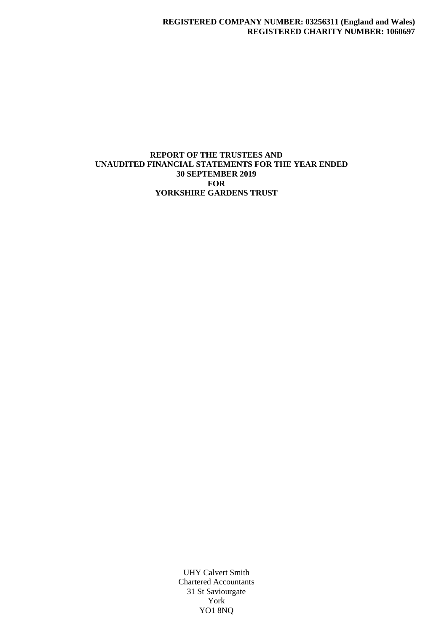### **REPORT OF THE TRUSTEES AND UNAUDITED FINANCIAL STATEMENTS FOR THE YEAR ENDED 30 SEPTEMBER 2019 FOR YORKSHIRE GARDENS TRUST**

UHY Calvert Smith Chartered Accountants 31 St Saviourgate York YO1 8NQ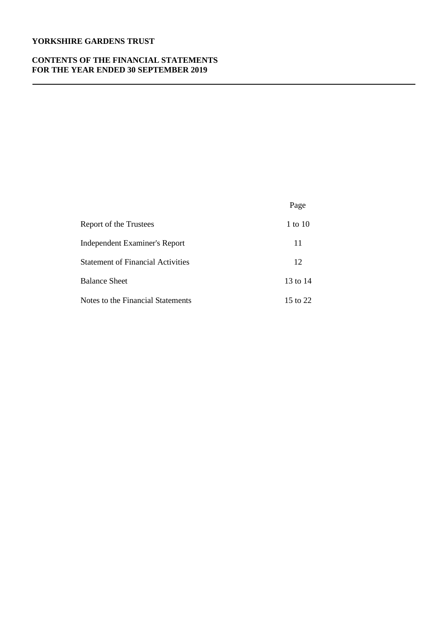## **YORKSHIRE GARDENS TRUST**

#### **CONTENTS OF THE FINANCIAL STATEMENTS FOR THE YEAR ENDED 30 SEPTEMBER 2019**

|                                          | Page     |
|------------------------------------------|----------|
| Report of the Trustees                   | 1 to 10  |
| <b>Independent Examiner's Report</b>     | 11       |
| <b>Statement of Financial Activities</b> | 12       |
| <b>Balance Sheet</b>                     | 13 to 14 |
| Notes to the Financial Statements        | 15 to 22 |